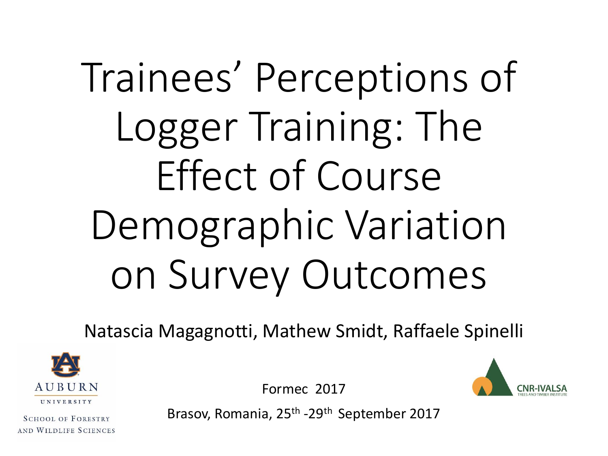# Trainees' Perceptions of Logger Training: The Effect of Course Demographic Variation on Survey Outcomes

Natascia Magagnotti, Mathew Smidt, Raffaele Spinelli



**SCHOOL OF FORESTRY** AND WILDLIFE SCIENCES Formec 2017



Brasov, Romania, 25<sup>th</sup> -29<sup>th</sup> September 2017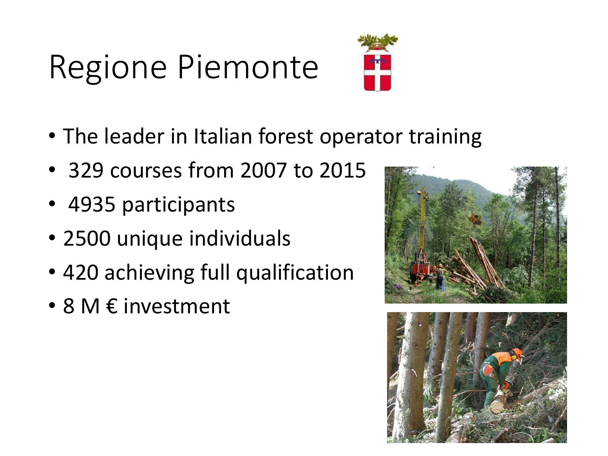# Regione Piemonte



- The leader in Italian forest operator training
- 329 courses from 2007 to 2015
- 4935 participants
- 2500 unique individuals
- 420 achieving full qualification
- 8 M € investment



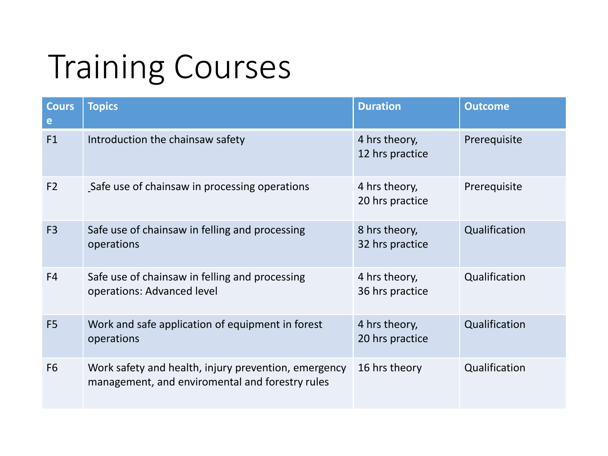# Training Courses

| <b>Cours</b><br>e | <b>Topics</b>                                                                                           | <b>Duration</b>                  | <b>Outcome</b> |
|-------------------|---------------------------------------------------------------------------------------------------------|----------------------------------|----------------|
| F1                | Introduction the chainsaw safety                                                                        | 4 hrs theory,<br>12 hrs practice | Prerequisite   |
| F <sub>2</sub>    | Safe use of chainsaw in processing operations                                                           | 4 hrs theory,<br>20 hrs practice | Prerequisite   |
| F <sub>3</sub>    | Safe use of chainsaw in felling and processing<br>operations                                            | 8 hrs theory,<br>32 hrs practice | Qualification  |
| F <sub>4</sub>    | Safe use of chainsaw in felling and processing<br>operations: Advanced level                            | 4 hrs theory,<br>36 hrs practice | Qualification  |
| F <sub>5</sub>    | Work and safe application of equipment in forest<br>operations                                          | 4 hrs theory,<br>20 hrs practice | Qualification  |
| F <sub>6</sub>    | Work safety and health, injury prevention, emergency<br>management, and enviromental and forestry rules | 16 hrs theory                    | Qualification  |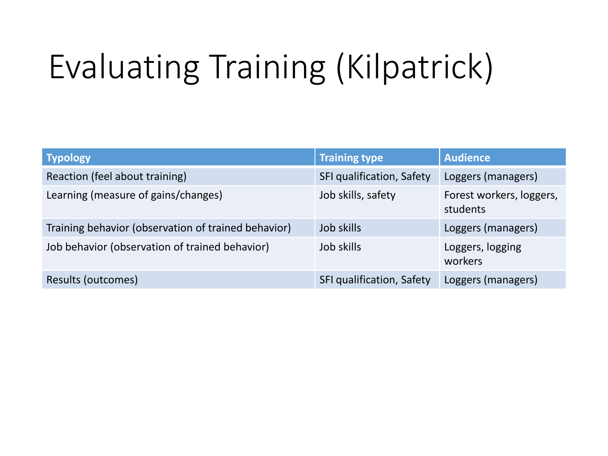# Evaluating Training (Kilpatrick)

| <b>Typology</b>                                     | <b>Training type</b>      | <b>Audience</b>                      |
|-----------------------------------------------------|---------------------------|--------------------------------------|
| Reaction (feel about training)                      | SFI qualification, Safety | Loggers (managers)                   |
| Learning (measure of gains/changes)                 | Job skills, safety        | Forest workers, loggers,<br>students |
| Training behavior (observation of trained behavior) | Job skills                | Loggers (managers)                   |
| Job behavior (observation of trained behavior)      | Job skills                | Loggers, logging<br>workers          |
| Results (outcomes)                                  | SFI qualification, Safety | Loggers (managers)                   |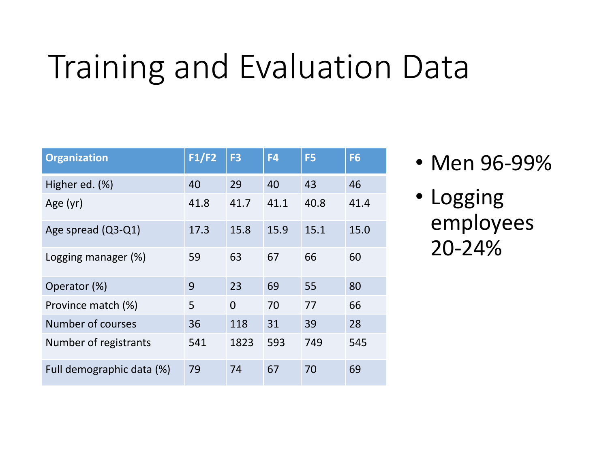### Training and Evaluation Data

| <b>Organization</b>       | F1/F2 | F <sub>3</sub> | F4   | F <sub>5</sub> | F <sub>6</sub> |
|---------------------------|-------|----------------|------|----------------|----------------|
| Higher ed. (%)            | 40    | 29             | 40   | 43             | 46             |
| Age (yr)                  | 41.8  | 41.7           | 41.1 | 40.8           | 41.4           |
| Age spread (Q3-Q1)        | 17.3  | 15.8           | 15.9 | 15.1           | 15.0           |
| Logging manager (%)       | 59    | 63             | 67   | 66             | 60             |
| Operator (%)              | 9     | 23             | 69   | 55             | 80             |
| Province match (%)        | 5     | $\Omega$       | 70   | 77             | 66             |
| Number of courses         | 36    | 118            | 31   | 39             | 28             |
| Number of registrants     | 541   | 1823           | 593  | 749            | 545            |
| Full demographic data (%) | 79    | 74             | 67   | 70             | 69             |

- Men 96-99%
- Logging employees 20-24%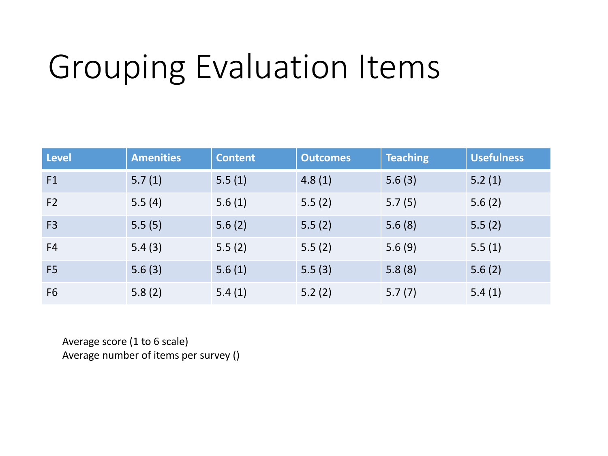# Grouping Evaluation Items

| <b>Level</b>   | <b>Amenities</b> | <b>Content</b> | <b>Outcomes</b> | <b>Teaching</b> | <b>Usefulness</b> |
|----------------|------------------|----------------|-----------------|-----------------|-------------------|
| F1             | 5.7(1)           | 5.5(1)         | 4.8(1)          | 5.6(3)          | 5.2(1)            |
| F <sub>2</sub> | 5.5(4)           | 5.6(1)         | 5.5(2)          | 5.7(5)          | 5.6(2)            |
| F <sub>3</sub> | 5.5(5)           | 5.6(2)         | 5.5(2)          | 5.6(8)          | 5.5(2)            |
| F <sub>4</sub> | 5.4(3)           | 5.5(2)         | 5.5(2)          | 5.6(9)          | 5.5(1)            |
| F <sub>5</sub> | 5.6(3)           | 5.6(1)         | 5.5(3)          | 5.8(8)          | 5.6(2)            |
| F <sub>6</sub> | 5.8(2)           | 5.4(1)         | 5.2(2)          | 5.7(7)          | 5.4(1)            |

Average score (1 to 6 scale) Average number of items per survey ()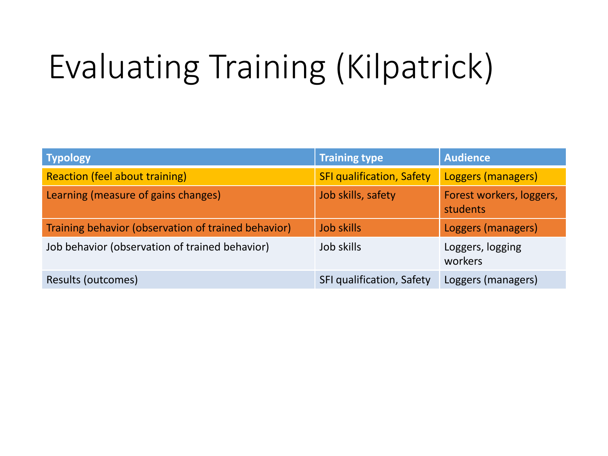# Evaluating Training (Kilpatrick)

| <b>Typology</b>                                     | <b>Training type</b>             | <b>Audience</b>                      |
|-----------------------------------------------------|----------------------------------|--------------------------------------|
| <b>Reaction (feel about training)</b>               | <b>SFI qualification, Safety</b> | Loggers (managers)                   |
| Learning (measure of gains changes)                 | Job skills, safety               | Forest workers, loggers,<br>students |
| Training behavior (observation of trained behavior) | <b>Job skills</b>                | Loggers (managers)                   |
| Job behavior (observation of trained behavior)      | Job skills                       | Loggers, logging<br>workers          |
| Results (outcomes)                                  | SFI qualification, Safety        | Loggers (managers)                   |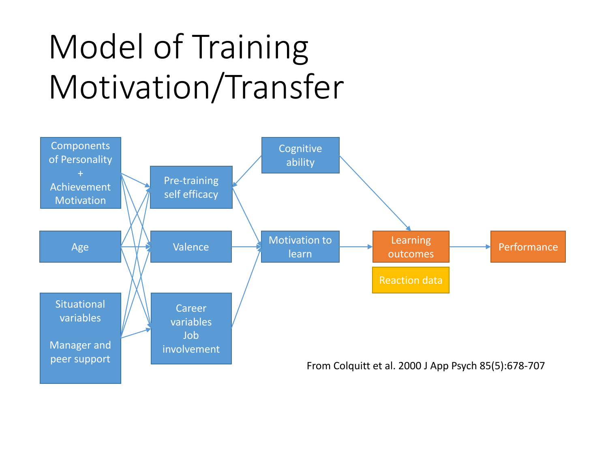# Model of Training Motivation/Transfer

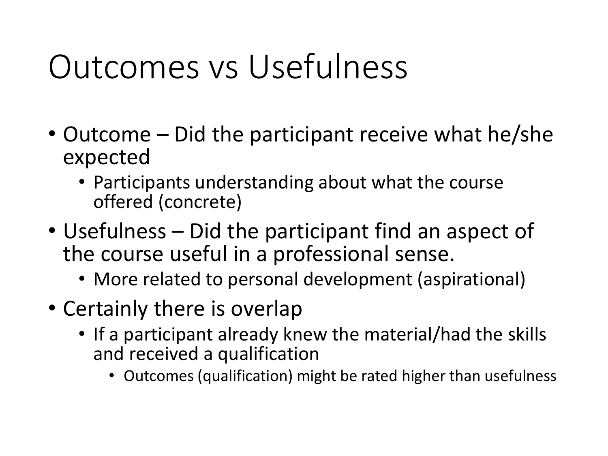#### Outcomes vs Usefulness

- Outcome Did the participant receive what he/she expected
	- Participants understanding about what the course offered (concrete)
- Usefulness Did the participant find an aspect of the course useful in a professional sense.
	- More related to personal development (aspirational)
- Certainly there is overlap
	- If a participant already knew the material/had the skills and received a qualification
		- Outcomes (qualification) might be rated higher than usefulness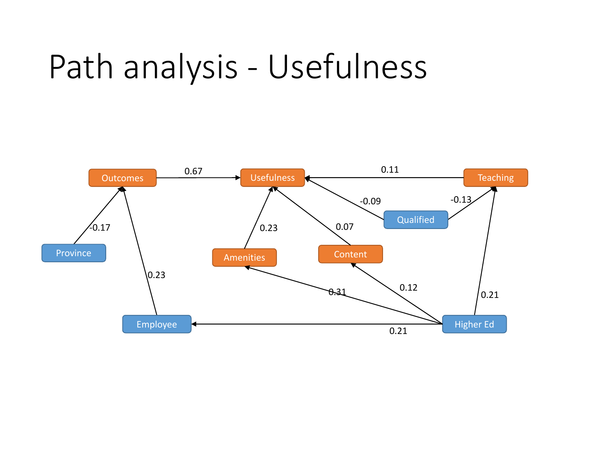#### Path analysis - Usefulness

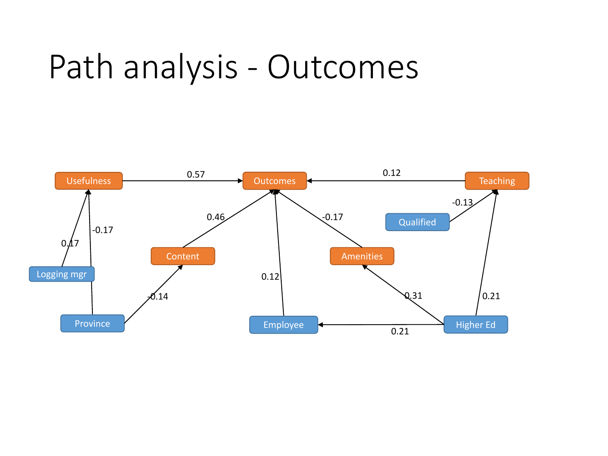#### Path analysis - Outcomes

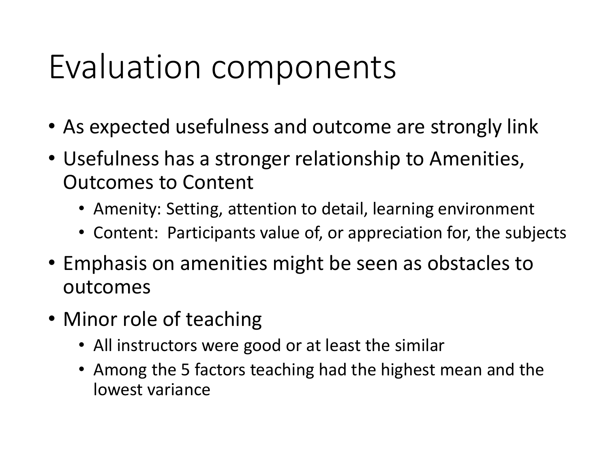#### Evaluation components

- As expected usefulness and outcome are strongly link
- Usefulness has a stronger relationship to Amenities, Outcomes to Content
	- Amenity: Setting, attention to detail, learning environment
	- Content: Participants value of, or appreciation for, the subjects
- Emphasis on amenities might be seen as obstacles to outcomes
- Minor role of teaching
	- All instructors were good or at least the similar
	- Among the 5 factors teaching had the highest mean and the lowest variance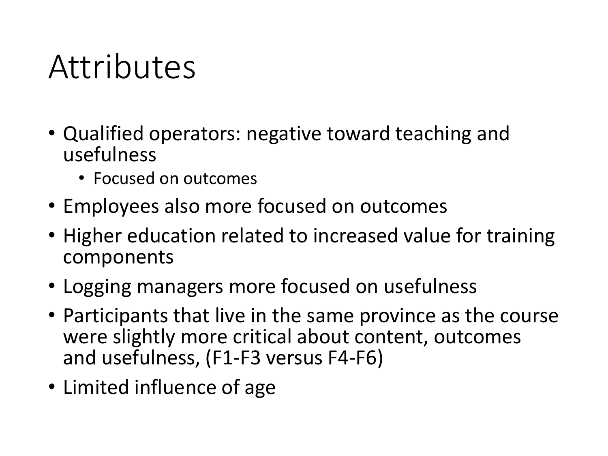#### Attributes

- Qualified operators: negative toward teaching and usefulness
	- Focused on outcomes
- Employees also more focused on outcomes
- Higher education related to increased value for training components
- Logging managers more focused on usefulness
- Participants that live in the same province as the course were slightly more critical about content, outcomes and usefulness, (F1-F3 versus F4-F6)
- Limited influence of age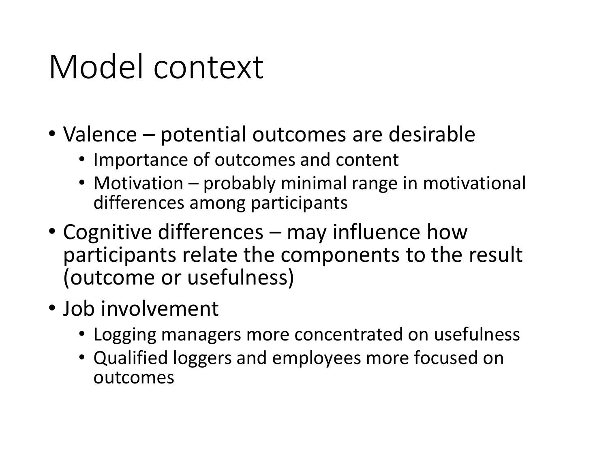#### Model context

- Valence potential outcomes are desirable
	- Importance of outcomes and content
	- Motivation probably minimal range in motivational differences among participants
- Cognitive differences may influence how participants relate the components to the result (outcome or usefulness)
- Job involvement
	- Logging managers more concentrated on usefulness
	- Qualified loggers and employees more focused on outcomes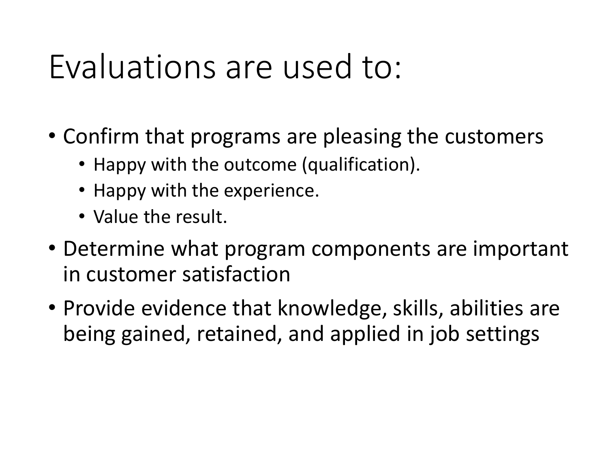#### Evaluations are used to:

- Confirm that programs are pleasing the customers
	- Happy with the outcome (qualification).
	- Happy with the experience.
	- Value the result.
- Determine what program components are important in customer satisfaction
- Provide evidence that knowledge, skills, abilities are being gained, retained, and applied in job settings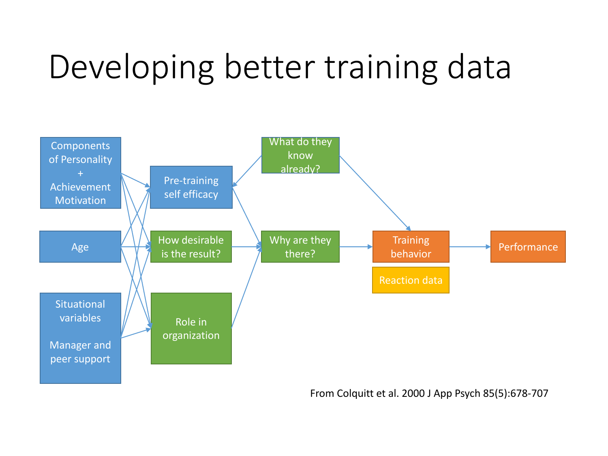## Developing better training data



From Colquitt et al. 2000 J App Psych 85(5):678-707